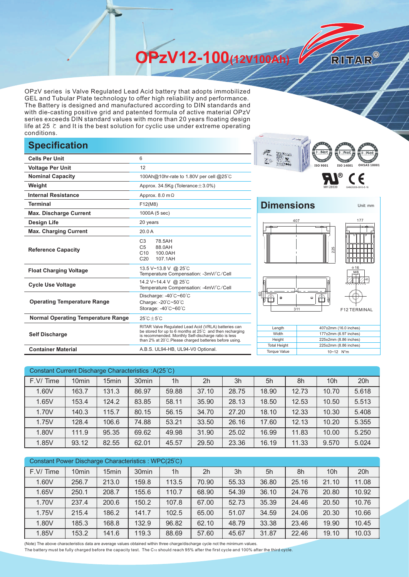**OPzV12-100(12V100Ah)** 

OPzV series is Valve Regulated Lead Acid battery that adopts immobilized GEL and Tubular Plate technology to offer high reliability and performance. The Battery is designed and manufactured according to DIN standards and with die-casting positive grid and patented formula of active material OPzV series exceeds DIN standard values with more than 20 years floating design life at 25 ℃ and It is the best solution for cyclic use under extreme operating conditions.

## **Specification**

| <b>Cells Per Unit</b>                     | 6                                                                                                                                                                                                                                  | <b>Controller</b><br>X.                                                      |
|-------------------------------------------|------------------------------------------------------------------------------------------------------------------------------------------------------------------------------------------------------------------------------------|------------------------------------------------------------------------------|
| <b>Voltage Per Unit</b>                   | 12                                                                                                                                                                                                                                 | <b>ISO 9001</b><br>ISO 140                                                   |
| <b>Nominal Capacity</b>                   | 100Ah@10hr-rate to 1.80V per cell @25°C                                                                                                                                                                                            | O)                                                                           |
| Weight                                    | Approx. 34.5Kg (Tolerance $\pm$ 3.0%)                                                                                                                                                                                              | MH 28539                                                                     |
| <b>Internal Resistance</b>                | Approx. $8.0 \text{ m}\Omega$                                                                                                                                                                                                      |                                                                              |
| <b>Terminal</b>                           | F12(M8)                                                                                                                                                                                                                            | <b>Dimensions</b>                                                            |
| <b>Max. Discharge Current</b>             | 1000A (5 sec)                                                                                                                                                                                                                      |                                                                              |
| <b>Design Life</b>                        | 20 years                                                                                                                                                                                                                           | 407                                                                          |
| <b>Max. Charging Current</b>              | 20.0 A                                                                                                                                                                                                                             |                                                                              |
| <b>Reference Capacity</b>                 | C <sub>3</sub><br>78.5AH<br>C <sub>5</sub><br>88.0AH<br>C10<br>100.0AH<br>C <sub>20</sub><br>107.1AH                                                                                                                               | 225                                                                          |
| <b>Float Charging Voltage</b>             | 13.5 V~13.8 V @ 25°C<br>Temperature Compensation: -3mV/°C/Cell                                                                                                                                                                     |                                                                              |
| <b>Cycle Use Voltage</b>                  | 14.2 V~14.4 V @ 25°C<br>Temperature Compensation: -4mV/°C/Cell                                                                                                                                                                     | ₹                                                                            |
| <b>Operating Temperature Range</b>        | Discharge: -40°C~60°C<br>Charge: -20°C~50°C<br>Storage: -40°C~60°C                                                                                                                                                                 | ф,<br>ſΦ<br>$\Theta$<br>$\oplus$<br>311<br>F <sub>12</sub>                   |
| <b>Normal Operating Temperature Range</b> | $25^{\circ}$ C $\pm 5^{\circ}$ C                                                                                                                                                                                                   |                                                                              |
| <b>Self Discharge</b>                     | RITAR Valve Regulated Lead Acid (VRLA) batteries can<br>be stored for up to 6 months at 25°C and then recharging<br>is recommended. Monthly Self-discharge ratio is less<br>than 2% at 20°C.Please charged batteries before using. | Length<br>407±2mm (16.0<br>Width<br>177±2mm (6.97<br>Height<br>225±2mm (8.86 |
| <b>Container Material</b>                 | A.B.S. UL94-HB, UL94-V0 Optional.                                                                                                                                                                                                  | <b>Total Height</b><br>225±2mm (8.86 i<br><b>Torque Value</b><br>10~12 N*m   |



225±2mm (8.86 inches)

**ISO 9001 ISO 14001 OHSAS 18001**

RITAR®

| Constant Current Discharge Characteristics : A(25°C) |                   |       |                   |                |       |       |       |       |       |       |
|------------------------------------------------------|-------------------|-------|-------------------|----------------|-------|-------|-------|-------|-------|-------|
| F.V/Time                                             | 10 <sub>min</sub> | 15min | 30 <sub>min</sub> | 1 <sub>h</sub> | 2h    | 3h    | 5h    | 8h    | 10h   | 20h   |
| 1.60V                                                | 163.7             | 131.3 | 86.97             | 59.88          | 37.10 | 28.75 | 18.90 | 12.73 | 10.70 | 5.618 |
| 1.65V                                                | 153.4             | 124.2 | 83.85             | 58.11          | 35.90 | 28.13 | 18.50 | 12.53 | 10.50 | 5.513 |
| 1.70V                                                | 140.3             | 115.7 | 80.15             | 56.15          | 34.70 | 27.20 | 18.10 | 12.33 | 10.30 | 5.408 |
| 1.75V                                                | 128.4             | 106.6 | 74.88             | 53.21          | 33.50 | 26.16 | 17.60 | 12.13 | 10.20 | 5.355 |
| 1.80V                                                | 111.9             | 95.35 | 69.62             | 49.98          | 31.90 | 25.02 | 16.99 | 11.83 | 10.00 | 5.250 |
| 1.85V                                                | 93.12             | 82.55 | 62.01             | 45.57          | 29.50 | 23.36 | 16.19 | 11.33 | 9.570 | 5.024 |

| Constant Power Discharge Characteristics: WPC(25°C) |                   |       |                   |                |                |       |       |       |       |       |
|-----------------------------------------------------|-------------------|-------|-------------------|----------------|----------------|-------|-------|-------|-------|-------|
| F.V/Time                                            | 10 <sub>min</sub> | 15min | 30 <sub>min</sub> | 1 <sub>h</sub> | 2 <sub>h</sub> | 3h    | 5h    | 8h    | 10h   | 20h   |
| 1.60V                                               | 256.7             | 213.0 | 159.8             | 113.5          | 70.90          | 55.33 | 36.80 | 25.16 | 21.10 | 11.08 |
| 1.65V                                               | 250.1             | 208.7 | 155.6             | 110.7          | 68.90          | 54.39 | 36.10 | 24.76 | 20.80 | 10.92 |
| 1.70V                                               | 237.4             | 200.6 | 150.2             | 107.8          | 67.00          | 52.73 | 35.39 | 24.46 | 20.50 | 10.76 |
| 1.75V                                               | 215.4             | 186.2 | 141.7             | 102.5          | 65.00          | 51.07 | 34.59 | 24.06 | 20.30 | 10.66 |
| 1.80V                                               | 185.3             | 168.8 | 132.9             | 96.82          | 62.10          | 48.79 | 33.38 | 23.46 | 19.90 | 10.45 |
| 1.85V                                               | 153.2             | 141.6 | 119.3             | 88.69          | 57.60          | 45.67 | 31.87 | 22.46 | 19.10 | 10.03 |

(Note) The above characteristics data are average values obtained within three charge/discharge cycle not the minimum values.

The battery must be fully charged before the capacity test. The C10 should reach 95% after the first cycle and 100% after the third cycle.